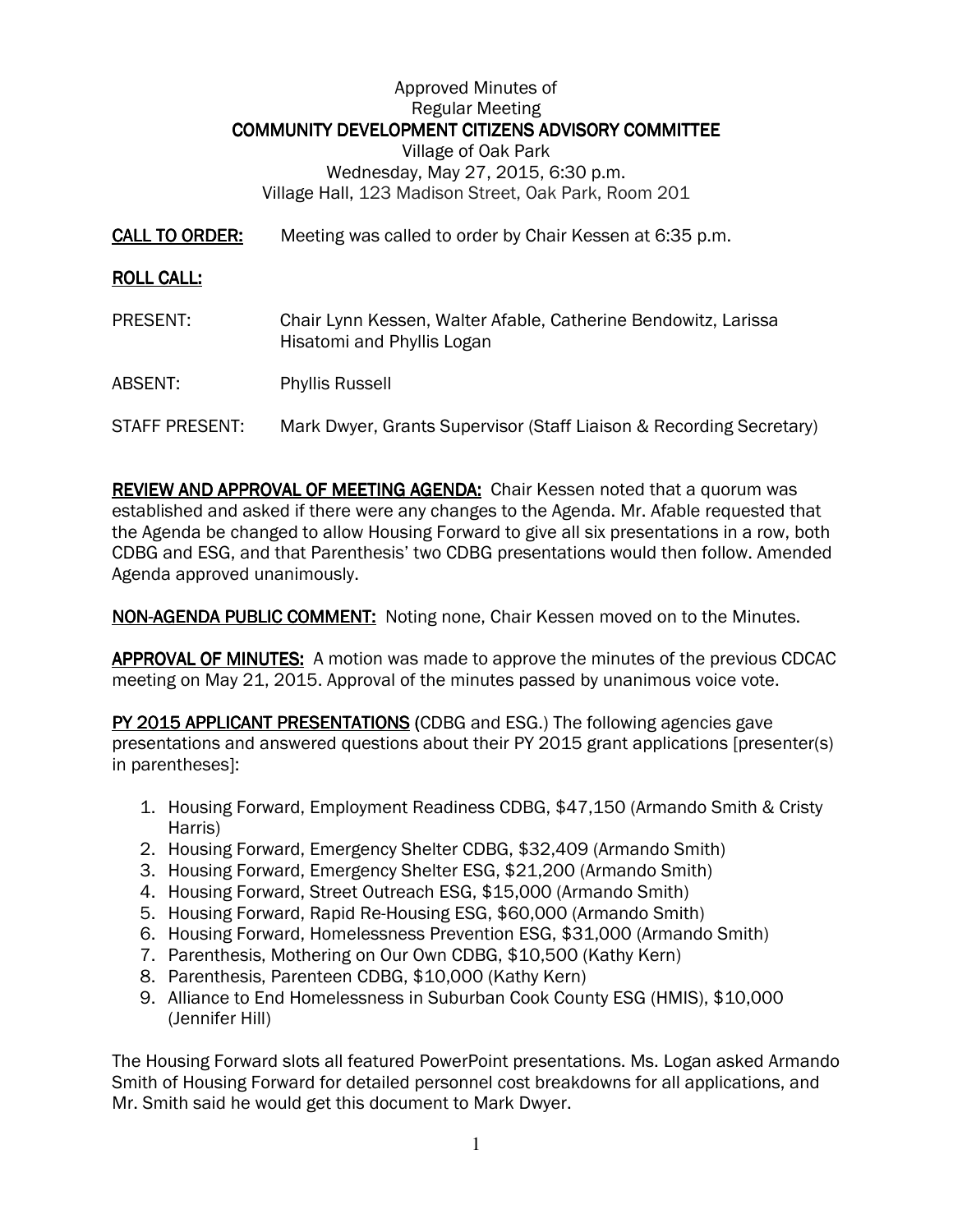## Approved Minutes of Regular Meeting COMMUNITY DEVELOPMENT CITIZENS ADVISORY COMMITTEE Village of Oak Park Wednesday, May 27, 2015, 6:30 p.m.

Village Hall, 123 Madison Street, Oak Park, Room 201

CALL TO ORDER: Meeting was called to order by Chair Kessen at 6:35 p.m.

#### **ROLL CALL:**

PRESENT: Chair Lynn Kessen, Walter Afable, Catherine Bendowitz, Larissa Hisatomi and Phyllis Logan

ABSENT: Phyllis Russell

STAFF PRESENT: Mark Dwyer, Grants Supervisor (Staff Liaison & Recording Secretary)

REVIEW AND APPROVAL OF MEETING AGENDA: Chair Kessen noted that a quorum was established and asked if there were any changes to the Agenda. Mr. Afable requested that the Agenda be changed to allow Housing Forward to give all six presentations in a row, both CDBG and ESG, and that Parenthesis' two CDBG presentations would then follow. Amended Agenda approved unanimously.

NON-AGENDA PUBLIC COMMENT: Noting none, Chair Kessen moved on to the Minutes.

APPROVAL OF MINUTES: A motion was made to approve the minutes of the previous CDCAC meeting on May 21, 2015. Approval of the minutes passed by unanimous voice vote.

PY 2015 APPLICANT PRESENTATIONS (CDBG and ESG.) The following agencies gave presentations and answered questions about their PY 2015 grant applications [presenter(s) in parentheses]:

- 1. Housing Forward, Employment Readiness CDBG, \$47,150 (Armando Smith & Cristy Harris)
- 2. Housing Forward, Emergency Shelter CDBG, \$32,409 (Armando Smith)
- 3. Housing Forward, Emergency Shelter ESG, \$21,200 (Armando Smith)
- 4. Housing Forward, Street Outreach ESG, \$15,000 (Armando Smith)
- 5. Housing Forward, Rapid Re-Housing ESG, \$60,000 (Armando Smith)
- 6. Housing Forward, Homelessness Prevention ESG, \$31,000 (Armando Smith)
- 7. Parenthesis, Mothering on Our Own CDBG, \$10,500 (Kathy Kern)
- 8. Parenthesis, Parenteen CDBG, \$10,000 (Kathy Kern)
- 9. Alliance to End Homelessness in Suburban Cook County ESG (HMIS), \$10,000 (Jennifer Hill)

The Housing Forward slots all featured PowerPoint presentations. Ms. Logan asked Armando Smith of Housing Forward for detailed personnel cost breakdowns for all applications, and Mr. Smith said he would get this document to Mark Dwyer.